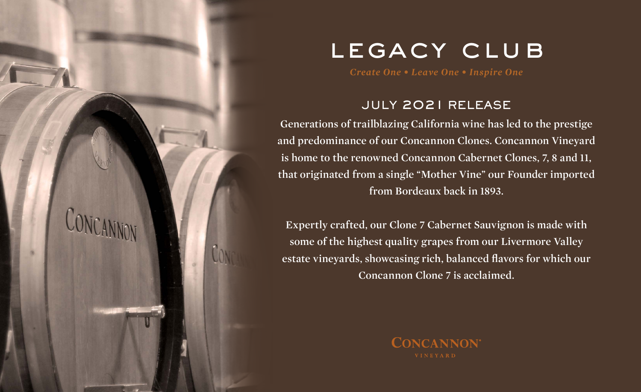

# LEGACY CLUB

### JULY 2021 RELEASE

**Generations of trailblazing California wine has led to the prestige and predominance of our Concannon Clones. Concannon Vineyard is home to the renowned Concannon Cabernet Clones, 7, 8 and 11, that originated from a single "Mother Vine" our Founder imported from Bordeaux back in 1893.** 

**Expertly crafted, our Clone 7 Cabernet Sauvignon is made with some of the highest quality grapes from our Livermore Valley estate vineyards, showcasing rich, balanced flavors for which our Concannon Clone 7 is acclaimed.** 

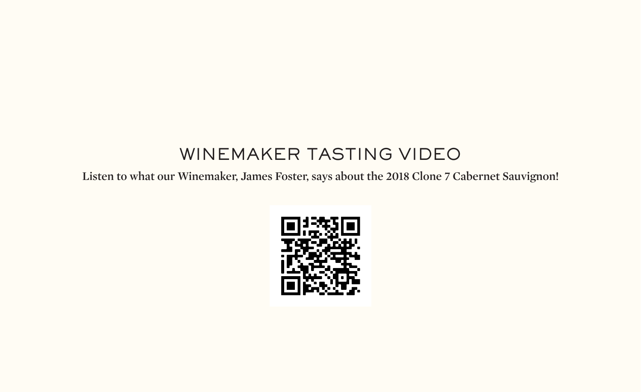# WINEMAKER TASTING VIDEO

**Listen to what our Winemaker, James Foster, says about the 2018 Clone 7 Cabernet Sauvignon!**

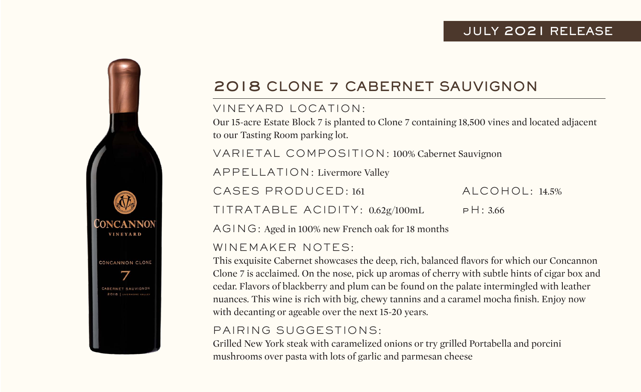### JULY 2021 RELEASE



## 2018 CLONE 7 CABERNET SAUVIGNON

#### VINEYARD LOCATION:

Our 15-acre Estate Block 7 is planted to Clone 7 containing 18,500 vines and located adjacent to our Tasting Room parking lot.

VARIETAL COMPOSITION: 100% Cabernet Sauvignon

APPELLATION: Livermore Valley

CASES PRODUCED: 161 ALCOHOL: 14.5%

TITRATABLE ACIDITY: 0.62g/100mL pH: 3.66

AGING: Aged in 100% new French oak for 18 months

#### WINEMAKER NOTES:

This exquisite Cabernet showcases the deep, rich, balanced flavors for which our Concannon Clone 7 is acclaimed. On the nose, pick up aromas of cherry with subtle hints of cigar box and cedar. Flavors of blackberry and plum can be found on the palate intermingled with leather nuances. This wine is rich with big, chewy tannins and a caramel mocha finish. Enjoy now with decanting or ageable over the next 15-20 years.

### PAIRING SUGGESTIONS:

Grilled New York steak with caramelized onions or try grilled Portabella and porcini mushrooms over pasta with lots of garlic and parmesan cheese